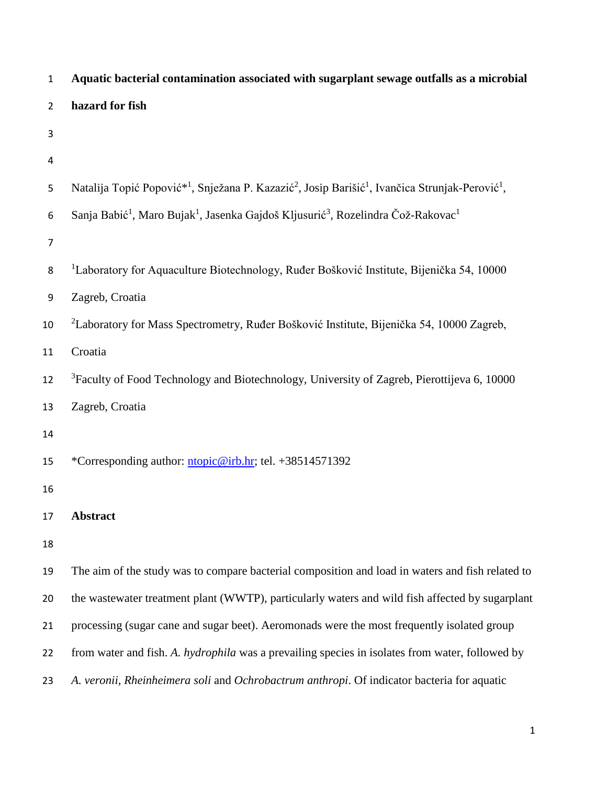| $\mathbf{1}$   | Aquatic bacterial contamination associated with sugarplant sewage outfalls as a microbial                                                       |
|----------------|-------------------------------------------------------------------------------------------------------------------------------------------------|
| $\overline{2}$ | hazard for fish                                                                                                                                 |
| 3              |                                                                                                                                                 |
| 4              |                                                                                                                                                 |
| 5              | Natalija Topić Popović <sup>*1</sup> , Snježana P. Kazazić <sup>2</sup> , Josip Barišić <sup>1</sup> , Ivančica Strunjak-Perović <sup>1</sup> , |
| 6              | Sanja Babić <sup>1</sup> , Maro Bujak <sup>1</sup> , Jasenka Gajdoš Kljusurić <sup>3</sup> , Rozelindra Čož-Rakovac <sup>1</sup>                |
| $\overline{7}$ |                                                                                                                                                 |
| 8              | <sup>1</sup> Laboratory for Aquaculture Biotechnology, Ruđer Bošković Institute, Bijenička 54, 10000                                            |
| 9              | Zagreb, Croatia                                                                                                                                 |
| 10             | <sup>2</sup> Laboratory for Mass Spectrometry, Ruđer Bošković Institute, Bijenička 54, 10000 Zagreb,                                            |
| 11             | Croatia                                                                                                                                         |
| 12             | <sup>3</sup> Faculty of Food Technology and Biotechnology, University of Zagreb, Pierottijeva 6, 10000                                          |
| 13             | Zagreb, Croatia                                                                                                                                 |
| 14             |                                                                                                                                                 |
| 15             | *Corresponding author: ntopic@irb.hr; tel. +38514571392                                                                                         |
| 16             |                                                                                                                                                 |
| 17             | <b>Abstract</b>                                                                                                                                 |
| 18             |                                                                                                                                                 |
| 19             | The aim of the study was to compare bacterial composition and load in waters and fish related to                                                |
| 20             | the wastewater treatment plant (WWTP), particularly waters and wild fish affected by sugarplant                                                 |
| 21             | processing (sugar cane and sugar beet). Aeromonads were the most frequently isolated group                                                      |
| 22             | from water and fish. A. hydrophila was a prevailing species in isolates from water, followed by                                                 |
| 23             | A. veronii, Rheinheimera soli and Ochrobactrum anthropi. Of indicator bacteria for aquatic                                                      |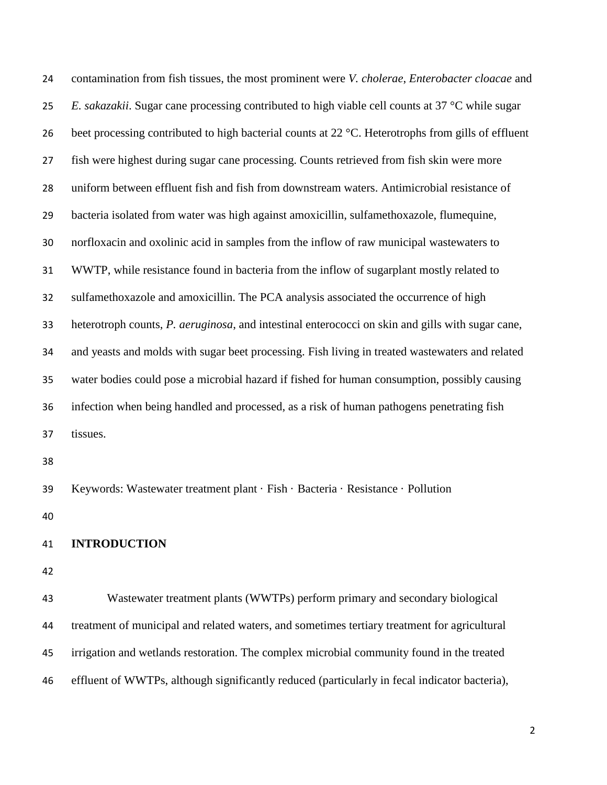| 24 | contamination from fish tissues, the most prominent were V. cholerae, Enterobacter cloacae and     |
|----|----------------------------------------------------------------------------------------------------|
| 25 | E. sakazakii. Sugar cane processing contributed to high viable cell counts at 37 °C while sugar    |
| 26 | beet processing contributed to high bacterial counts at 22 °C. Heterotrophs from gills of effluent |
| 27 | fish were highest during sugar cane processing. Counts retrieved from fish skin were more          |
| 28 | uniform between effluent fish and fish from downstream waters. Antimicrobial resistance of         |
| 29 | bacteria isolated from water was high against amoxicillin, sulfamethoxazole, flumequine,           |
| 30 | norfloxacin and oxolinic acid in samples from the inflow of raw municipal wastewaters to           |
| 31 | WWTP, while resistance found in bacteria from the inflow of sugarplant mostly related to           |
| 32 | sulfamethoxazole and amoxicillin. The PCA analysis associated the occurrence of high               |
| 33 | heterotroph counts, P. aeruginosa, and intestinal enterococci on skin and gills with sugar cane,   |
| 34 | and yeasts and molds with sugar beet processing. Fish living in treated wastewaters and related    |
| 35 | water bodies could pose a microbial hazard if fished for human consumption, possibly causing       |
| 36 | infection when being handled and processed, as a risk of human pathogens penetrating fish          |
| 37 | tissues.                                                                                           |
| 38 |                                                                                                    |
| 39 | Keywords: Wastewater treatment plant · Fish · Bacteria · Resistance · Pollution                    |
| 40 |                                                                                                    |
| 41 | <b>INTRODUCTION</b>                                                                                |
| 42 |                                                                                                    |
| 43 | Wastewater treatment plants (WWTPs) perform primary and secondary biological                       |
| 44 | treatment of municipal and related waters, and sometimes tertiary treatment for agricultural       |
| 45 | irrigation and wetlands restoration. The complex microbial community found in the treated          |
| 46 | effluent of WWTPs, although significantly reduced (particularly in fecal indicator bacteria),      |
|    |                                                                                                    |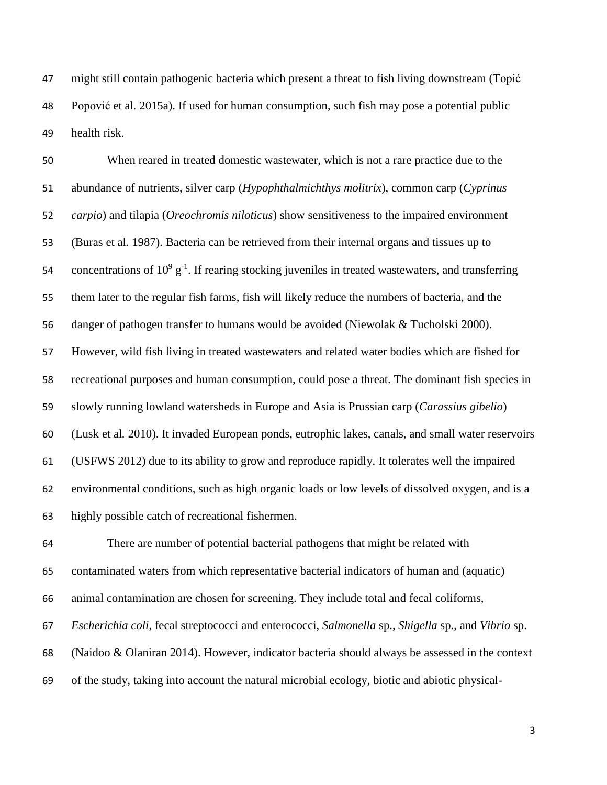might still contain pathogenic bacteria which present a threat to fish living downstream (Topić Popović et al*.* 2015a). If used for human consumption, such fish may pose a potential public health risk.

 When reared in treated domestic wastewater, which is not a rare practice due to the abundance of nutrients, silver carp (*Hypophthalmichthys molitrix*), common carp (*Cyprinus carpio*) and tilapia (*Oreochromis niloticus*) show sensitiveness to the impaired environment (Buras et al*.* 1987). Bacteria can be retrieved from their internal organs and tissues up to 54 concentrations of  $10^9$  g<sup>-1</sup>. If rearing stocking juveniles in treated wastewaters, and transferring them later to the regular fish farms, fish will likely reduce the numbers of bacteria, and the danger of pathogen transfer to humans would be avoided (Niewolak & Tucholski 2000). However, wild fish living in treated wastewaters and related water bodies which are fished for recreational purposes and human consumption, could pose a threat. The dominant fish species in slowly running lowland watersheds in Europe and Asia is Prussian carp (*Carassius gibelio*) (Lusk et al*.* 2010). It invaded European ponds, eutrophic lakes, canals, and small water reservoirs (USFWS 2012) due to its ability to grow and reproduce rapidly. It tolerates well the impaired environmental conditions, such as high organic loads or low levels of dissolved oxygen, and is a highly possible catch of recreational fishermen.

 There are number of potential bacterial pathogens that might be related with contaminated waters from which representative bacterial indicators of human and (aquatic) animal contamination are chosen for screening. They include total and fecal coliforms, *Escherichia coli*, fecal streptococci and enterococci, *Salmonella* sp., *Shigella* sp., and *Vibrio* sp. (Naidoo & Olaniran 2014). However, indicator bacteria should always be assessed in the context of the study, taking into account the natural microbial ecology, biotic and abiotic physical-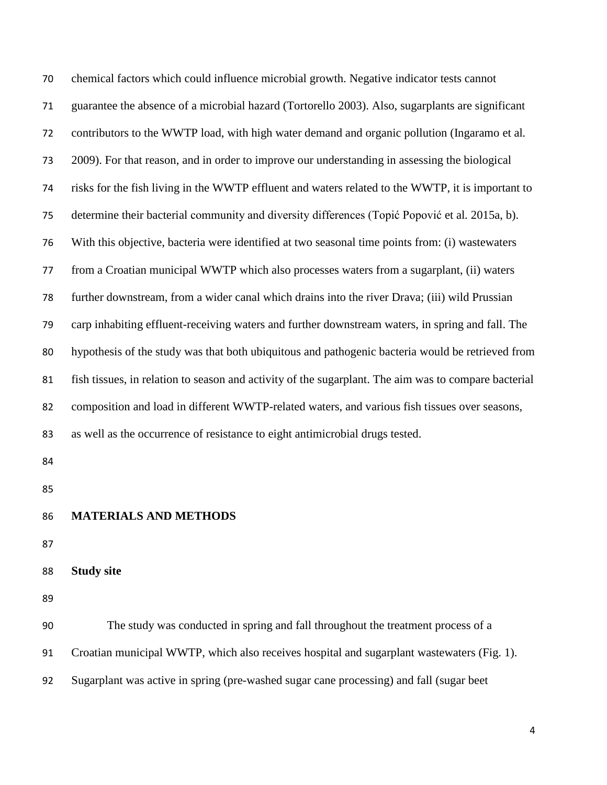| 70 | chemical factors which could influence microbial growth. Negative indicator tests cannot             |
|----|------------------------------------------------------------------------------------------------------|
| 71 | guarantee the absence of a microbial hazard (Tortorello 2003). Also, sugarplants are significant     |
| 72 | contributors to the WWTP load, with high water demand and organic pollution (Ingaramo et al.         |
| 73 | 2009). For that reason, and in order to improve our understanding in assessing the biological        |
| 74 | risks for the fish living in the WWTP effluent and waters related to the WWTP, it is important to    |
| 75 | determine their bacterial community and diversity differences (Topić Popović et al. 2015a, b).       |
| 76 | With this objective, bacteria were identified at two seasonal time points from: (i) wastewaters      |
| 77 | from a Croatian municipal WWTP which also processes waters from a sugarplant, (ii) waters            |
| 78 | further downstream, from a wider canal which drains into the river Drava; (iii) wild Prussian        |
| 79 | carp inhabiting effluent-receiving waters and further downstream waters, in spring and fall. The     |
| 80 | hypothesis of the study was that both ubiquitous and pathogenic bacteria would be retrieved from     |
| 81 | fish tissues, in relation to season and activity of the sugarplant. The aim was to compare bacterial |
| 82 | composition and load in different WWTP-related waters, and various fish tissues over seasons,        |
| 83 | as well as the occurrence of resistance to eight antimicrobial drugs tested.                         |
| 84 |                                                                                                      |
| 85 |                                                                                                      |
| 86 | <b>MATERIALS AND METHODS</b>                                                                         |
| 87 |                                                                                                      |
| 88 | <b>Study site</b>                                                                                    |
| 89 |                                                                                                      |
| 90 | The study was conducted in spring and fall throughout the treatment process of a                     |
| 91 | Croatian municipal WWTP, which also receives hospital and sugarplant wastewaters (Fig. 1).           |
| 92 | Sugarplant was active in spring (pre-washed sugar cane processing) and fall (sugar beet              |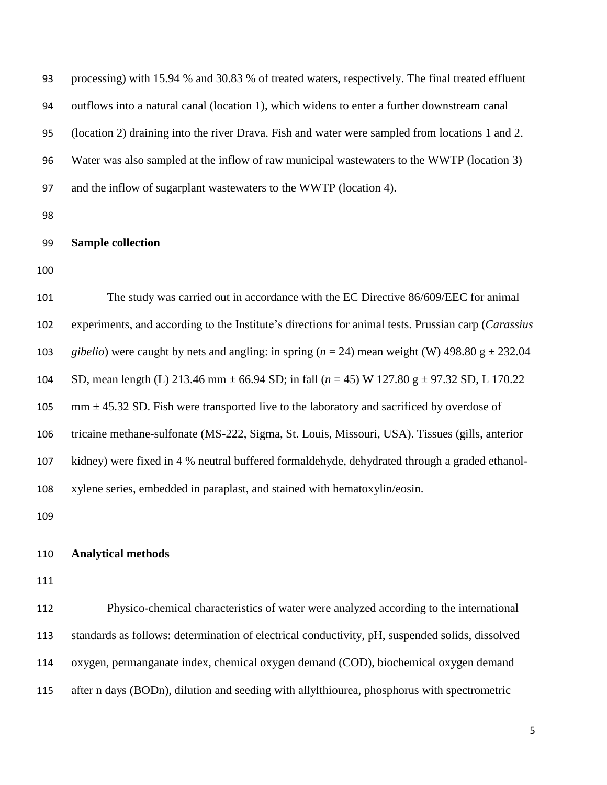| 93  | processing) with 15.94 % and 30.83 % of treated waters, respectively. The final treated effluent       |
|-----|--------------------------------------------------------------------------------------------------------|
| 94  | outflows into a natural canal (location 1), which widens to enter a further downstream canal           |
| 95  | (location 2) draining into the river Drava. Fish and water were sampled from locations 1 and 2.        |
| 96  | Water was also sampled at the inflow of raw municipal wastewaters to the WWTP (location 3)             |
| 97  | and the inflow of sugarplant was tewaters to the WWTP (location 4).                                    |
| 98  |                                                                                                        |
| 99  | <b>Sample collection</b>                                                                               |
| 100 |                                                                                                        |
| 101 | The study was carried out in accordance with the EC Directive 86/609/EEC for animal                    |
| 102 | experiments, and according to the Institute's directions for animal tests. Prussian carp (Carassius    |
| 103 | gibelio) were caught by nets and angling: in spring ( $n = 24$ ) mean weight (W) 498.80 g $\pm$ 232.04 |
| 104 | SD, mean length (L) 213.46 mm $\pm$ 66.94 SD; in fall ( $n = 45$ ) W 127.80 g $\pm$ 97.32 SD, L 170.22 |
| 105 | $mm \pm 45.32$ SD. Fish were transported live to the laboratory and sacrificed by overdose of          |
| 106 | tricaine methane-sulfonate (MS-222, Sigma, St. Louis, Missouri, USA). Tissues (gills, anterior         |
| 107 | kidney) were fixed in 4 % neutral buffered formaldehyde, dehydrated through a graded ethanol-          |
| 108 | xylene series, embedded in paraplast, and stained with hematoxylin/eosin.                              |
| 109 |                                                                                                        |
| 110 | <b>Analytical methods</b>                                                                              |
| 111 |                                                                                                        |
| 112 | Physico-chemical characteristics of water were analyzed according to the international                 |
| 113 | standards as follows: determination of electrical conductivity, pH, suspended solids, dissolved        |
| 114 | oxygen, permanganate index, chemical oxygen demand (COD), biochemical oxygen demand                    |
| 115 | after n days (BODn), dilution and seeding with allylthiourea, phosphorus with spectrometric            |
|     |                                                                                                        |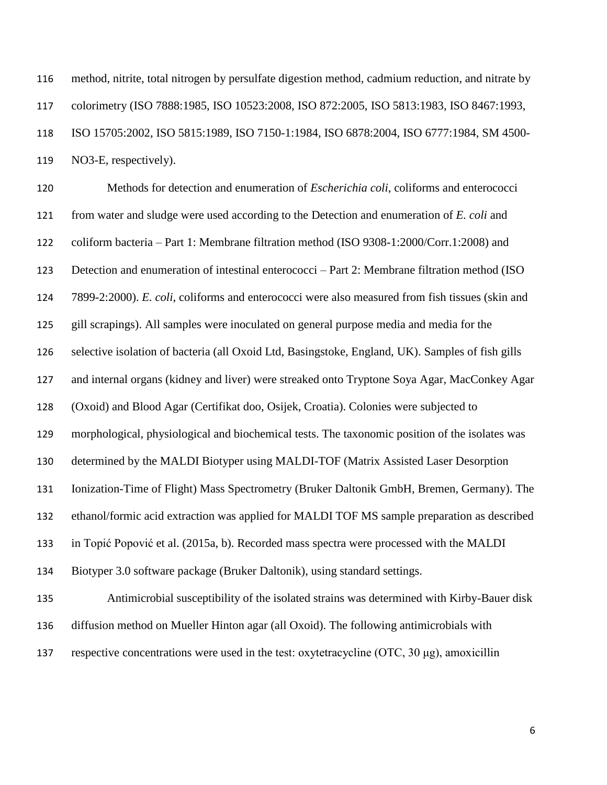method, nitrite, total nitrogen by persulfate digestion method, cadmium reduction, and nitrate by colorimetry (ISO 7888:1985, ISO 10523:2008, ISO 872:2005, ISO 5813:1983, ISO 8467:1993, ISO 15705:2002, ISO 5815:1989, ISO 7150-1:1984, ISO 6878:2004, ISO 6777:1984, SM 4500- NO3-E, respectively).

 Methods for detection and enumeration of *Escherichia coli*, coliforms and enterococci from water and sludge were used according to the Detection and enumeration of *E. coli* and coliform bacteria – Part 1: Membrane filtration method (ISO 9308-1:2000/Corr.1:2008) and Detection and enumeration of intestinal enterococci – Part 2: Membrane filtration method (ISO 7899-2:2000). *E. coli*, coliforms and enterococci were also measured from fish tissues (skin and gill scrapings). All samples were inoculated on general purpose media and media for the selective isolation of bacteria (all Oxoid Ltd, Basingstoke, England, UK). Samples of fish gills and internal organs (kidney and liver) were streaked onto Tryptone Soya Agar, MacConkey Agar (Oxoid) and Blood Agar (Certifikat doo, Osijek, Croatia). Colonies were subjected to morphological, physiological and biochemical tests. The taxonomic position of the isolates was determined by the MALDI Biotyper using MALDI-TOF (Matrix Assisted Laser Desorption Ionization-Time of Flight) Mass Spectrometry (Bruker Daltonik GmbH, Bremen, Germany). The ethanol/formic acid extraction was applied for MALDI TOF MS sample preparation as described in Topić Popović et al. (2015a, b). Recorded mass spectra were processed with the MALDI Biotyper 3.0 software package (Bruker Daltonik), using standard settings. Antimicrobial susceptibility of the isolated strains was determined with Kirby-Bauer disk diffusion method on Mueller Hinton agar (all Oxoid). The following antimicrobials with

respective concentrations were used in the test: oxytetracycline (OTC, 30 μg), amoxicillin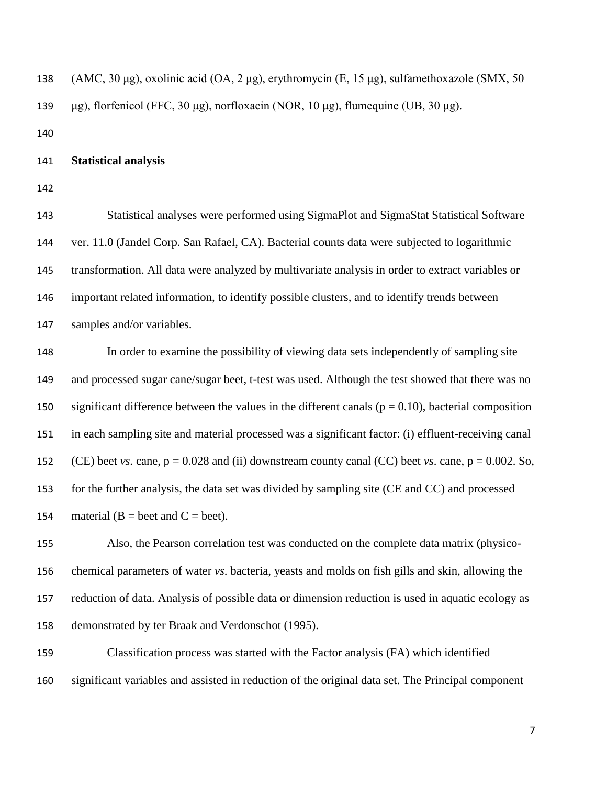| 138 | (AMC, 30 $\mu$ g), oxolinic acid (OA, 2 $\mu$ g), erythromycin (E, 15 $\mu$ g), sulfamethoxazole (SMX, 50 |
|-----|-----------------------------------------------------------------------------------------------------------|
| 139 | μg), florfenicol (FFC, 30 μg), norfloxacin (NOR, 10 μg), flumequine (UB, 30 μg).                          |

## **Statistical analysis**

 Statistical analyses were performed using SigmaPlot and SigmaStat Statistical Software ver. 11.0 (Jandel Corp. San Rafael, CA). Bacterial counts data were subjected to logarithmic transformation. All data were analyzed by multivariate analysis in order to extract variables or important related information, to identify possible clusters, and to identify trends between samples and/or variables.

 In order to examine the possibility of viewing data sets independently of sampling site and processed sugar cane/sugar beet, t-test was used. Although the test showed that there was no 150 significant difference between the values in the different canals ( $p = 0.10$ ), bacterial composition in each sampling site and material processed was a significant factor: (i) effluent-receiving canal 152 (CE) beet *vs*. cane,  $p = 0.028$  and (ii) downstream county canal (CC) beet *vs*. cane,  $p = 0.002$ . So, for the further analysis, the data set was divided by sampling site (CE and CC) and processed 154 material  $(B = \text{beet} \text{ and } C = \text{beet}).$ 

 Also, the Pearson correlation test was conducted on the complete data matrix (physico- chemical parameters of water *vs*. bacteria, yeasts and molds on fish gills and skin, allowing the reduction of data. Analysis of possible data or dimension reduction is used in aquatic ecology as demonstrated by ter Braak and Verdonschot (1995).

 Classification process was started with the Factor analysis (FA) which identified significant variables and assisted in reduction of the original data set. The Principal component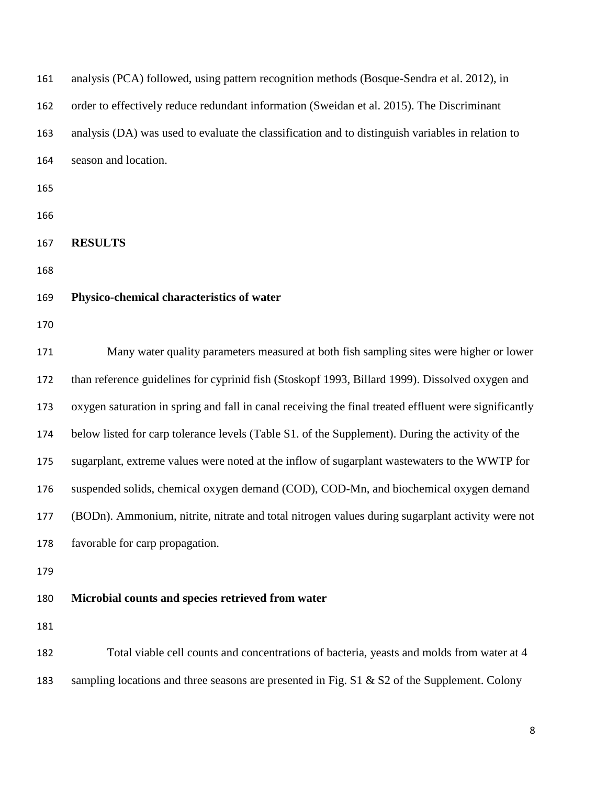| 161 | analysis (PCA) followed, using pattern recognition methods (Bosque-Sendra et al. 2012), in            |
|-----|-------------------------------------------------------------------------------------------------------|
| 162 | order to effectively reduce redundant information (Sweidan et al. 2015). The Discriminant             |
| 163 | analysis (DA) was used to evaluate the classification and to distinguish variables in relation to     |
| 164 | season and location.                                                                                  |
| 165 |                                                                                                       |
| 166 |                                                                                                       |
| 167 | <b>RESULTS</b>                                                                                        |
| 168 |                                                                                                       |
| 169 | Physico-chemical characteristics of water                                                             |
| 170 |                                                                                                       |
| 171 | Many water quality parameters measured at both fish sampling sites were higher or lower               |
| 172 | than reference guidelines for cyprinid fish (Stoskopf 1993, Billard 1999). Dissolved oxygen and       |
| 173 | oxygen saturation in spring and fall in canal receiving the final treated effluent were significantly |
| 174 | below listed for carp tolerance levels (Table S1. of the Supplement). During the activity of the      |
| 175 | sugarplant, extreme values were noted at the inflow of sugarplant wastewaters to the WWTP for         |
| 176 | suspended solids, chemical oxygen demand (COD), COD-Mn, and biochemical oxygen demand                 |
| 177 | (BODn). Ammonium, nitrite, nitrate and total nitrogen values during sugarplant activity were not      |
| 178 | favorable for carp propagation.                                                                       |
| 179 |                                                                                                       |
| 180 | Microbial counts and species retrieved from water                                                     |
| 181 |                                                                                                       |
| 182 | Total viable cell counts and concentrations of bacteria, yeasts and molds from water at 4             |
| 183 | sampling locations and three seasons are presented in Fig. S1 & S2 of the Supplement. Colony          |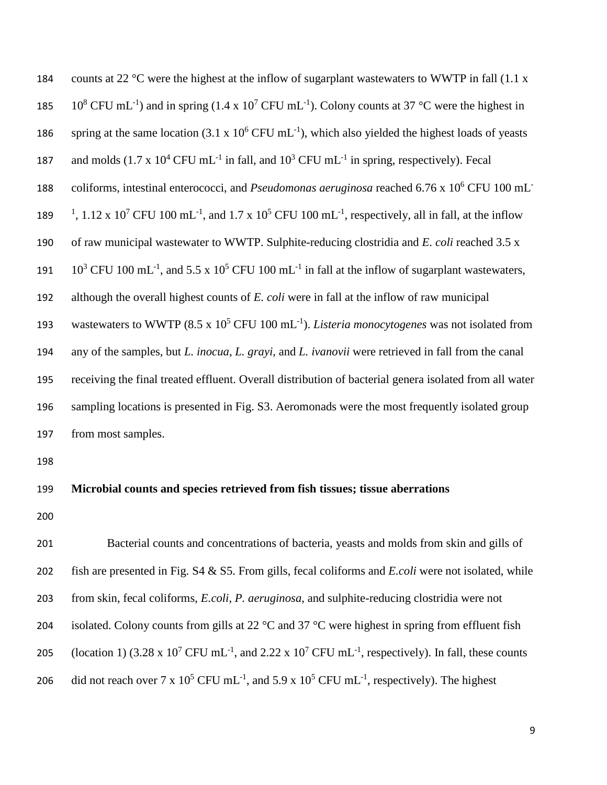| 184 | counts at 22 $\degree$ C were the highest at the inflow of sugarplant wastewaters to WWTP in fall (1.1 x                                                       |
|-----|----------------------------------------------------------------------------------------------------------------------------------------------------------------|
| 185 | $10^8$ CFU mL <sup>-1</sup> ) and in spring (1.4 x 10 <sup>7</sup> CFU mL <sup>-1</sup> ). Colony counts at 37 °C were the highest in                          |
| 186 | spring at the same location $(3.1 \times 10^6 \text{ CFU mL}^{-1})$ , which also yielded the highest loads of yeasts                                           |
| 187 | and molds $(1.7 \times 10^4 \text{ CFU} \text{ mL}^{-1})$ in fall, and $10^3 \text{ CFU} \text{ mL}^{-1}$ in spring, respectively). Fecal                      |
| 188 | coliforms, intestinal enterococci, and <i>Pseudomonas aeruginosa</i> reached 6.76 x 10 <sup>6</sup> CFU 100 mL <sup>-</sup>                                    |
| 189 | <sup>1</sup> , 1.12 x 10 <sup>7</sup> CFU 100 mL <sup>-1</sup> , and 1.7 x 10 <sup>5</sup> CFU 100 mL <sup>-1</sup> , respectively, all in fall, at the inflow |
| 190 | of raw municipal wastewater to WWTP. Sulphite-reducing clostridia and E. coli reached 3.5 x                                                                    |
| 191 | $10^3$ CFU 100 mL <sup>-1</sup> , and 5.5 x 10 <sup>5</sup> CFU 100 mL <sup>-1</sup> in fall at the inflow of sugarplant wastewaters,                          |
| 192 | although the overall highest counts of E. coli were in fall at the inflow of raw municipal                                                                     |
| 193 | wastewaters to WWTP (8.5 x $10^5$ CFU 100 mL <sup>-1</sup> ). Listeria monocytogenes was not isolated from                                                     |
| 194 | any of the samples, but L. inocua, L. grayi, and L. ivanovii were retrieved in fall from the canal                                                             |
| 195 | receiving the final treated effluent. Overall distribution of bacterial genera isolated from all water                                                         |
| 196 | sampling locations is presented in Fig. S3. Aeromonads were the most frequently isolated group                                                                 |
| 197 | from most samples.                                                                                                                                             |
| 198 |                                                                                                                                                                |
| 199 | Microbial counts and species retrieved from fish tissues; tissue aberrations                                                                                   |
| 200 |                                                                                                                                                                |
| 201 | Bacterial counts and concentrations of bacteria, yeasts and molds from skin and gills of                                                                       |
| 202 | fish are presented in Fig. S4 & S5. From gills, fecal coliforms and <i>E.coli</i> were not isolated, while                                                     |
| 203 | from skin, fecal coliforms, <i>E.coli</i> , <i>P. aeruginosa</i> , and sulphite-reducing clostridia were not                                                   |
| 204 | isolated. Colony counts from gills at 22 $\degree$ C and 37 $\degree$ C were highest in spring from effluent fish                                              |
| 205 | (location 1) (3.28 x 10 <sup>7</sup> CFU mL <sup>-1</sup> , and 2.22 x 10 <sup>7</sup> CFU mL <sup>-1</sup> , respectively). In fall, these counts             |
| 206 | did not reach over 7 x $10^5$ CFU mL <sup>-1</sup> , and 5.9 x $10^5$ CFU mL <sup>-1</sup> , respectively). The highest                                        |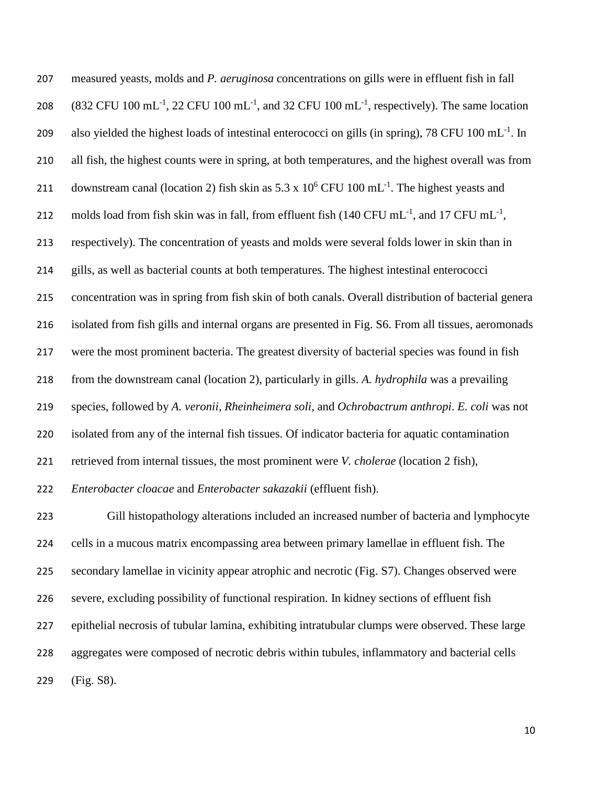measured yeasts, molds and *P. aeruginosa* concentrations on gills were in effluent fish in fall  $(832 \text{ CFU } 100 \text{ mL}^{-1}, 22 \text{ CFU } 100 \text{ mL}^{-1}, \text{ and } 32 \text{ CFU } 100 \text{ mL}^{-1}, \text{ respectively}).$  The same location 209 also yielded the highest loads of intestinal enterococci on gills (in spring), 78 CFU 100 mL $^{-1}$ . In all fish, the highest counts were in spring, at both temperatures, and the highest overall was from 211 downstream canal (location 2) fish skin as  $5.3 \times 10^6$  CFU 100 mL<sup>-1</sup>. The highest yeasts and 212 molds load from fish skin was in fall, from effluent fish  $(140 \text{ CFU mL}^{-1}, \text{ and } 17 \text{ CFU mL}^{-1},$  respectively). The concentration of yeasts and molds were several folds lower in skin than in gills, as well as bacterial counts at both temperatures. The highest intestinal enterococci concentration was in spring from fish skin of both canals. Overall distribution of bacterial genera isolated from fish gills and internal organs are presented in Fig. S6. From all tissues, aeromonads were the most prominent bacteria. The greatest diversity of bacterial species was found in fish from the downstream canal (location 2), particularly in gills. *A. hydrophila* was a prevailing species, followed by *A. veronii*, *Rheinheimera soli*, and *Ochrobactrum anthropi*. *E. coli* was not isolated from any of the internal fish tissues. Of indicator bacteria for aquatic contamination retrieved from internal tissues, the most prominent were *V. cholerae* (location 2 fish), *Enterobacter cloacae* and *Enterobacter sakazakii* (effluent fish). Gill histopathology alterations included an increased number of bacteria and lymphocyte cells in a mucous matrix encompassing area between primary lamellae in effluent fish. The secondary lamellae in vicinity appear atrophic and necrotic (Fig. S7). Changes observed were severe, excluding possibility of functional respiration. In kidney sections of effluent fish

epithelial necrosis of tubular lamina, exhibiting intratubular clumps were observed. These large

aggregates were composed of necrotic debris within tubules, inflammatory and bacterial cells

(Fig. S8).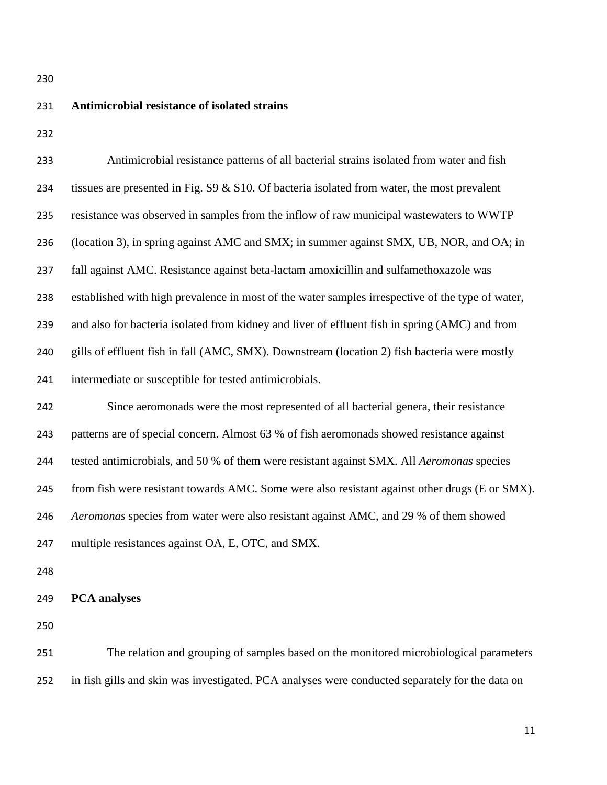## **Antimicrobial resistance of isolated strains**

| 233 | Antimicrobial resistance patterns of all bacterial strains isolated from water and fish          |
|-----|--------------------------------------------------------------------------------------------------|
| 234 | tissues are presented in Fig. $S9 & S10$ . Of bacteria isolated from water, the most prevalent   |
| 235 | resistance was observed in samples from the inflow of raw municipal wastewaters to WWTP          |
| 236 | (location 3), in spring against AMC and SMX; in summer against SMX, UB, NOR, and OA; in          |
| 237 | fall against AMC. Resistance against beta-lactam amoxicillin and sulfamethoxazole was            |
| 238 | established with high prevalence in most of the water samples irrespective of the type of water, |
| 239 | and also for bacteria isolated from kidney and liver of effluent fish in spring (AMC) and from   |
| 240 | gills of effluent fish in fall (AMC, SMX). Downstream (location 2) fish bacteria were mostly     |
| 241 | intermediate or susceptible for tested antimicrobials.                                           |
| 242 | Since aeromonads were the most represented of all bacterial genera, their resistance             |
| 243 | patterns are of special concern. Almost 63 % of fish aeromonads showed resistance against        |
| 244 | tested antimicrobials, and 50 % of them were resistant against SMX. All Aeromonas species        |
| 245 | from fish were resistant towards AMC. Some were also resistant against other drugs (E or SMX).   |
| 246 | Aeromonas species from water were also resistant against AMC, and 29 % of them showed            |
| 247 | multiple resistances against OA, E, OTC, and SMX.                                                |
| 248 |                                                                                                  |
| 249 | <b>PCA</b> analyses                                                                              |
| 250 |                                                                                                  |

 The relation and grouping of samples based on the monitored microbiological parameters in fish gills and skin was investigated. PCA analyses were conducted separately for the data on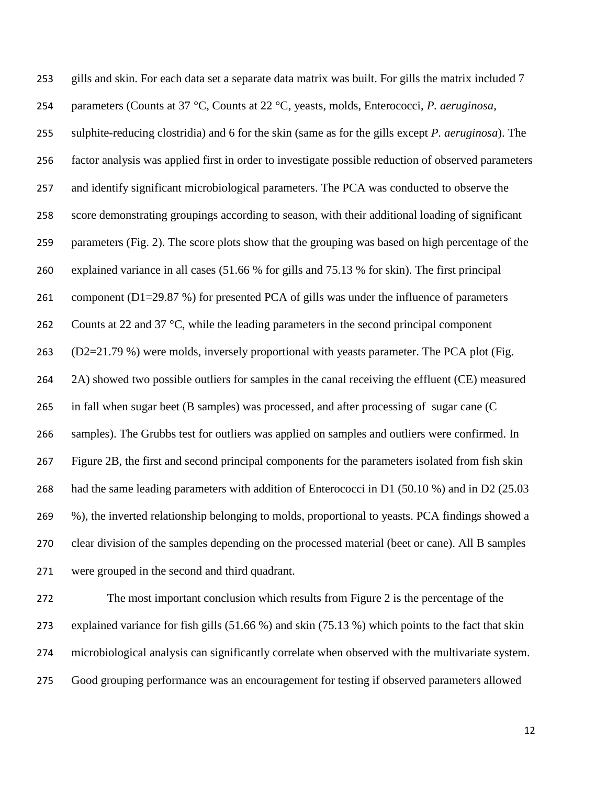gills and skin. For each data set a separate data matrix was built. For gills the matrix included 7 parameters (Counts at 37 °C, Counts at 22 °C, yeasts, molds, Enterococci, *P. aeruginosa*, sulphite-reducing clostridia) and 6 for the skin (same as for the gills except *P. aeruginosa*). The factor analysis was applied first in order to investigate possible reduction of observed parameters and identify significant microbiological parameters. The PCA was conducted to observe the score demonstrating groupings according to season, with their additional loading of significant parameters (Fig. 2). The score plots show that the grouping was based on high percentage of the explained variance in all cases (51.66 % for gills and 75.13 % for skin). The first principal component (D1=29.87 %) for presented PCA of gills was under the influence of parameters 262 Counts at 22 and 37  $\degree$ C, while the leading parameters in the second principal component (D2=21.79 %) were molds, inversely proportional with yeasts parameter. The PCA plot (Fig. 264 2A) showed two possible outliers for samples in the canal receiving the effluent (CE) measured in fall when sugar beet (B samples) was processed, and after processing of sugar cane (C samples). The Grubbs test for outliers was applied on samples and outliers were confirmed. In Figure 2B, the first and second principal components for the parameters isolated from fish skin had the same leading parameters with addition of Enterococci in D1 (50.10 %) and in D2 (25.03 %), the inverted relationship belonging to molds, proportional to yeasts. PCA findings showed a clear division of the samples depending on the processed material (beet or cane). All B samples were grouped in the second and third quadrant.

 The most important conclusion which results from Figure 2 is the percentage of the explained variance for fish gills (51.66 %) and skin (75.13 %) which points to the fact that skin microbiological analysis can significantly correlate when observed with the multivariate system. Good grouping performance was an encouragement for testing if observed parameters allowed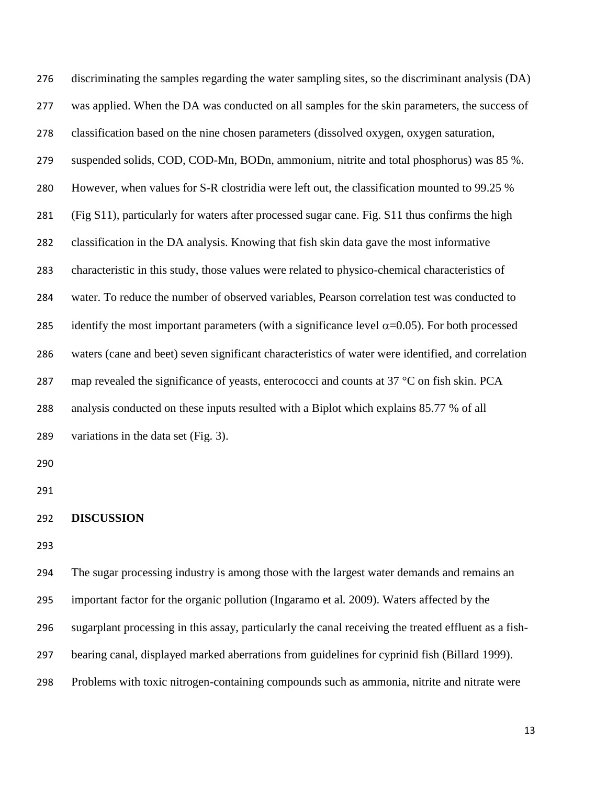| 276 | discriminating the samples regarding the water sampling sites, so the discriminant analysis (DA)      |
|-----|-------------------------------------------------------------------------------------------------------|
| 277 | was applied. When the DA was conducted on all samples for the skin parameters, the success of         |
| 278 | classification based on the nine chosen parameters (dissolved oxygen, oxygen saturation,              |
| 279 | suspended solids, COD, COD-Mn, BODn, ammonium, nitrite and total phosphorus) was 85 %.                |
| 280 | However, when values for S-R clostridia were left out, the classification mounted to 99.25 %          |
| 281 | (Fig S11), particularly for waters after processed sugar cane. Fig. S11 thus confirms the high        |
| 282 | classification in the DA analysis. Knowing that fish skin data gave the most informative              |
| 283 | characteristic in this study, those values were related to physico-chemical characteristics of        |
| 284 | water. To reduce the number of observed variables, Pearson correlation test was conducted to          |
| 285 | identify the most important parameters (with a significance level $\alpha$ =0.05). For both processed |
| 286 | waters (cane and beet) seven significant characteristics of water were identified, and correlation    |
| 287 | map revealed the significance of yeasts, enterococci and counts at 37 °C on fish skin. PCA            |
| 288 | analysis conducted on these inputs resulted with a Biplot which explains 85.77 % of all               |
| 289 | variations in the data set (Fig. 3).                                                                  |
| 290 |                                                                                                       |
| 291 |                                                                                                       |
| 292 | <b>DISCUSSION</b>                                                                                     |

 The sugar processing industry is among those with the largest water demands and remains an important factor for the organic pollution (Ingaramo et al*.* 2009). Waters affected by the sugarplant processing in this assay, particularly the canal receiving the treated effluent as a fish- bearing canal, displayed marked aberrations from guidelines for cyprinid fish (Billard 1999). Problems with toxic nitrogen-containing compounds such as ammonia, nitrite and nitrate were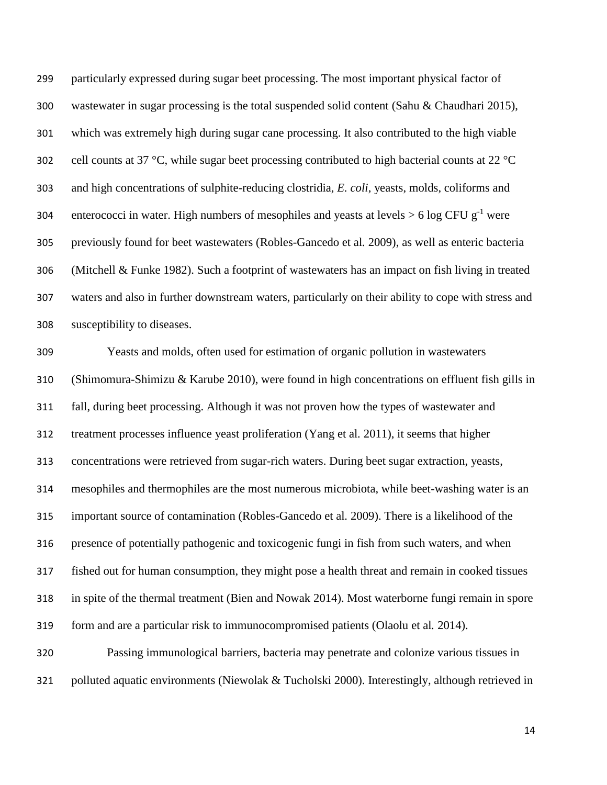particularly expressed during sugar beet processing. The most important physical factor of wastewater in sugar processing is the total suspended solid content (Sahu & Chaudhari 2015), which was extremely high during sugar cane processing. It also contributed to the high viable 302 cell counts at 37 °C, while sugar beet processing contributed to high bacterial counts at 22 °C and high concentrations of sulphite-reducing clostridia, *E. coli*, yeasts, molds, coliforms and 304 enterococci in water. High numbers of mesophiles and yeasts at levels  $> 6 \log CFU g^{-1}$  were previously found for beet wastewaters (Robles-Gancedo et al*.* 2009), as well as enteric bacteria (Mitchell & Funke 1982). Such a footprint of wastewaters has an impact on fish living in treated waters and also in further downstream waters, particularly on their ability to cope with stress and susceptibility to diseases.

 Yeasts and molds, often used for estimation of organic pollution in wastewaters (Shimomura-Shimizu & Karube 2010), were found in high concentrations on effluent fish gills in fall, during beet processing. Although it was not proven how the types of wastewater and treatment processes influence yeast proliferation (Yang et al*.* 2011), it seems that higher concentrations were retrieved from sugar-rich waters. During beet sugar extraction, yeasts, mesophiles and thermophiles are the most numerous microbiota, while beet-washing water is an important source of contamination (Robles-Gancedo et al*.* 2009). There is a likelihood of the presence of potentially pathogenic and toxicogenic fungi in fish from such waters, and when fished out for human consumption, they might pose a health threat and remain in cooked tissues in spite of the thermal treatment (Bien and Nowak 2014). Most waterborne fungi remain in spore form and are a particular risk to immunocompromised patients (Olaolu et al*.* 2014). Passing immunological barriers, bacteria may penetrate and colonize various tissues in

321 polluted aquatic environments (Niewolak & Tucholski 2000). Interestingly, although retrieved in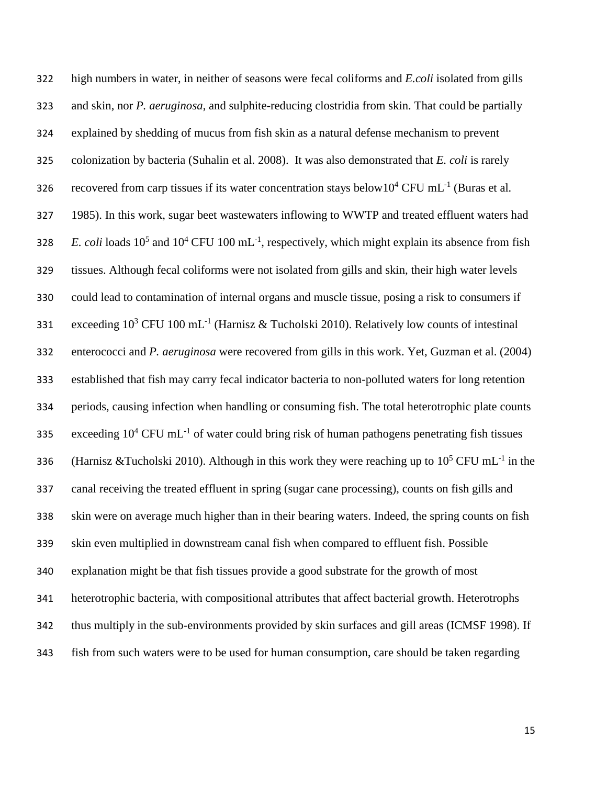high numbers in water, in neither of seasons were fecal coliforms and *E.coli* isolated from gills and skin, nor *P. aeruginosa*, and sulphite-reducing clostridia from skin. That could be partially explained by shedding of mucus from fish skin as a natural defense mechanism to prevent colonization by bacteria (Suhalin et al. 2008). It was also demonstrated that *E. coli* is rarely 326 recovered from carp tissues if its water concentration stays below10<sup>4</sup> CFU mL<sup>-1</sup> (Buras et al. 1985). In this work, sugar beet wastewaters inflowing to WWTP and treated effluent waters had *E. coli* loads  $10^5$  and  $10^4$  CFU 100 mL<sup>-1</sup>, respectively, which might explain its absence from fish tissues. Although fecal coliforms were not isolated from gills and skin, their high water levels could lead to contamination of internal organs and muscle tissue, posing a risk to consumers if 331 exceeding  $10^3$  CFU 100 mL<sup>-1</sup> (Harnisz & Tucholski 2010). Relatively low counts of intestinal enterococci and *P. aeruginosa* were recovered from gills in this work. Yet, Guzman et al. (2004) established that fish may carry fecal indicator bacteria to non-polluted waters for long retention periods, causing infection when handling or consuming fish. The total heterotrophic plate counts 335 exceeding  $10^4$  CFU mL<sup>-1</sup> of water could bring risk of human pathogens penetrating fish tissues 336 (Harnisz & Tucholski 2010). Although in this work they were reaching up to  $10^5$  CFU mL<sup>-1</sup> in the canal receiving the treated effluent in spring (sugar cane processing), counts on fish gills and skin were on average much higher than in their bearing waters. Indeed, the spring counts on fish skin even multiplied in downstream canal fish when compared to effluent fish. Possible explanation might be that fish tissues provide a good substrate for the growth of most heterotrophic bacteria, with compositional attributes that affect bacterial growth. Heterotrophs thus multiply in the sub-environments provided by skin surfaces and gill areas (ICMSF 1998). If fish from such waters were to be used for human consumption, care should be taken regarding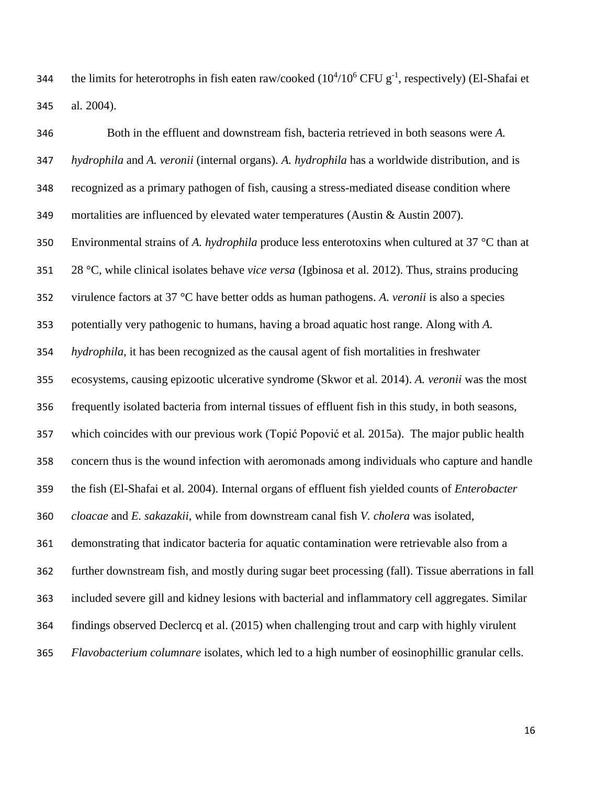344 the limits for heterotrophs in fish eaten raw/cooked  $(10^4/10^6 \text{ CFU g}^{-1}$ , respectively) (El-Shafai et al*.* 2004).

 Both in the effluent and downstream fish, bacteria retrieved in both seasons were *A. hydrophila* and *A. veronii* (internal organs). *A. hydrophila* has a worldwide distribution, and is recognized as a primary pathogen of fish, causing a stress-mediated disease condition where 349 mortalities are influenced by elevated water temperatures (Austin  $\&$  Austin 2007). Environmental strains of *A. hydrophila* produce less enterotoxins when cultured at 37 °C than at 28 °C, while clinical isolates behave *vice versa* (Igbinosa et al*.* 2012). Thus, strains producing virulence factors at 37 °C have better odds as human pathogens. *A. veronii* is also a species potentially very pathogenic to humans, having a broad aquatic host range. Along with *A. hydrophila,* it has been recognized as the causal agent of fish mortalities in freshwater ecosystems, causing epizootic ulcerative syndrome (Skwor et al*.* 2014). *A. veronii* was the most frequently isolated bacteria from internal tissues of effluent fish in this study, in both seasons, which coincides with our previous work (Topić Popović et al*.* 2015a). The major public health concern thus is the wound infection with aeromonads among individuals who capture and handle the fish (El-Shafai et al. 2004). Internal organs of effluent fish yielded counts of *Enterobacter cloacae* and *E. sakazakii*, while from downstream canal fish *V. cholera* was isolated, demonstrating that indicator bacteria for aquatic contamination were retrievable also from a further downstream fish, and mostly during sugar beet processing (fall). Tissue aberrations in fall included severe gill and kidney lesions with bacterial and inflammatory cell aggregates. Similar findings observed Declercq et al. (2015) when challenging trout and carp with highly virulent *Flavobacterium columnare* isolates, which led to a high number of eosinophillic granular cells.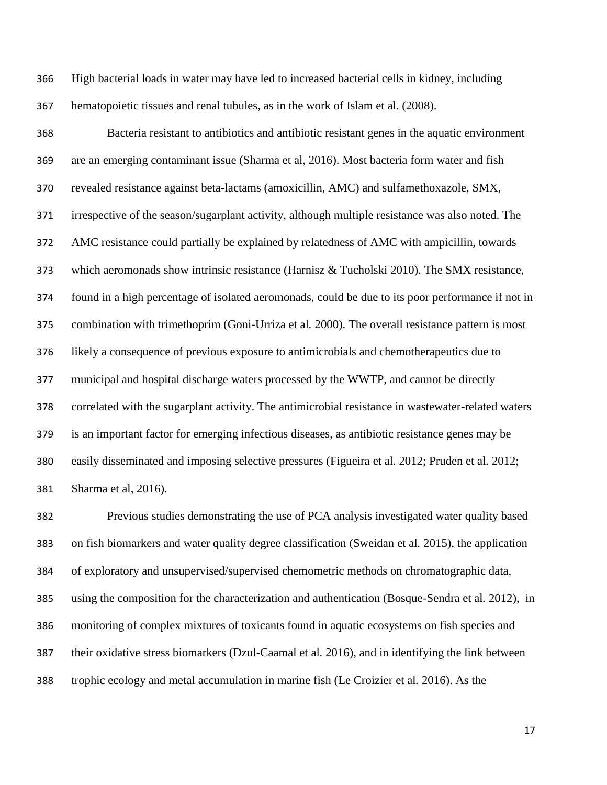High bacterial loads in water may have led to increased bacterial cells in kidney, including hematopoietic tissues and renal tubules, as in the work of Islam et al. (2008).

 Bacteria resistant to antibiotics and antibiotic resistant genes in the aquatic environment are an emerging contaminant issue (Sharma et al, 2016). Most bacteria form water and fish revealed resistance against beta-lactams (amoxicillin, AMC) and sulfamethoxazole, SMX, irrespective of the season/sugarplant activity, although multiple resistance was also noted. The AMC resistance could partially be explained by relatedness of AMC with ampicillin, towards which aeromonads show intrinsic resistance (Harnisz & Tucholski 2010). The SMX resistance, found in a high percentage of isolated aeromonads, could be due to its poor performance if not in combination with trimethoprim (Goni-Urriza et al*.* 2000). The overall resistance pattern is most likely a consequence of previous exposure to antimicrobials and chemotherapeutics due to municipal and hospital discharge waters processed by the WWTP, and cannot be directly correlated with the sugarplant activity. The antimicrobial resistance in wastewater-related waters is an important factor for emerging infectious diseases, as antibiotic resistance genes may be easily disseminated and imposing selective pressures (Figueira et al*.* 2012; Pruden et al*.* 2012; Sharma et al, 2016).

 Previous studies demonstrating the use of PCA analysis investigated water quality based on fish biomarkers and water quality degree classification (Sweidan et al*.* 2015), the application of exploratory and unsupervised/supervised chemometric methods on chromatographic data, using the composition for the characterization and authentication (Bosque-Sendra et al*.* 2012), in monitoring of complex mixtures of toxicants found in aquatic ecosystems on fish species and their oxidative stress biomarkers (Dzul-Caamal et al*.* 2016), and in identifying the link between trophic ecology and metal accumulation in marine fish (Le Croizier et al*.* 2016). As the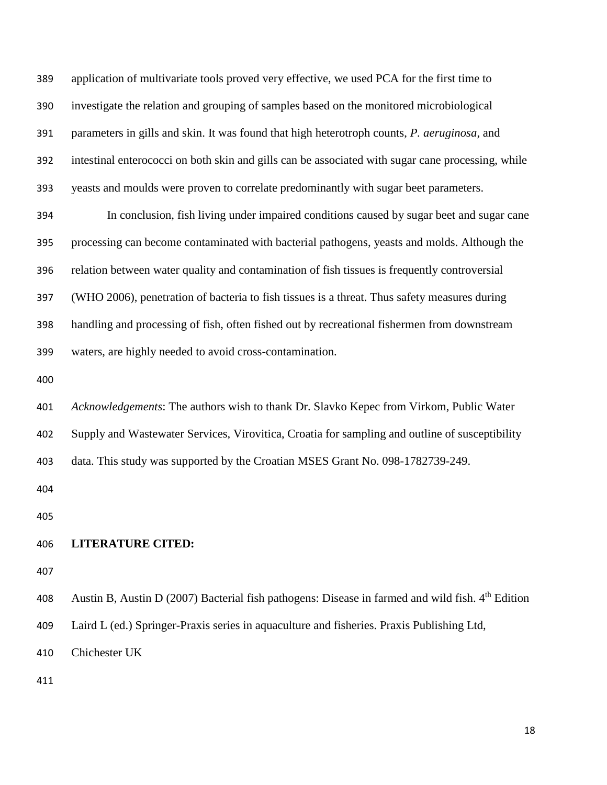application of multivariate tools proved very effective, we used PCA for the first time to investigate the relation and grouping of samples based on the monitored microbiological parameters in gills and skin. It was found that high heterotroph counts, *P. aeruginosa*, and intestinal enterococci on both skin and gills can be associated with sugar cane processing, while yeasts and moulds were proven to correlate predominantly with sugar beet parameters. In conclusion, fish living under impaired conditions caused by sugar beet and sugar cane processing can become contaminated with bacterial pathogens, yeasts and molds. Although the relation between water quality and contamination of fish tissues is frequently controversial (WHO 2006), penetration of bacteria to fish tissues is a threat. Thus safety measures during handling and processing of fish, often fished out by recreational fishermen from downstream waters, are highly needed to avoid cross-contamination.

 *Acknowledgements*: The authors wish to thank Dr. Slavko Kepec from Virkom, Public Water Supply and Wastewater Services, Virovitica, Croatia for sampling and outline of susceptibility data. This study was supported by the Croatian MSES Grant No. 098-1782739-249.

## **LITERATURE CITED:**

408 Austin B, Austin D (2007) Bacterial fish pathogens: Disease in farmed and wild fish. 4<sup>th</sup> Edition Laird L (ed.) Springer-Praxis series in aquaculture and fisheries. Praxis Publishing Ltd,

Chichester UK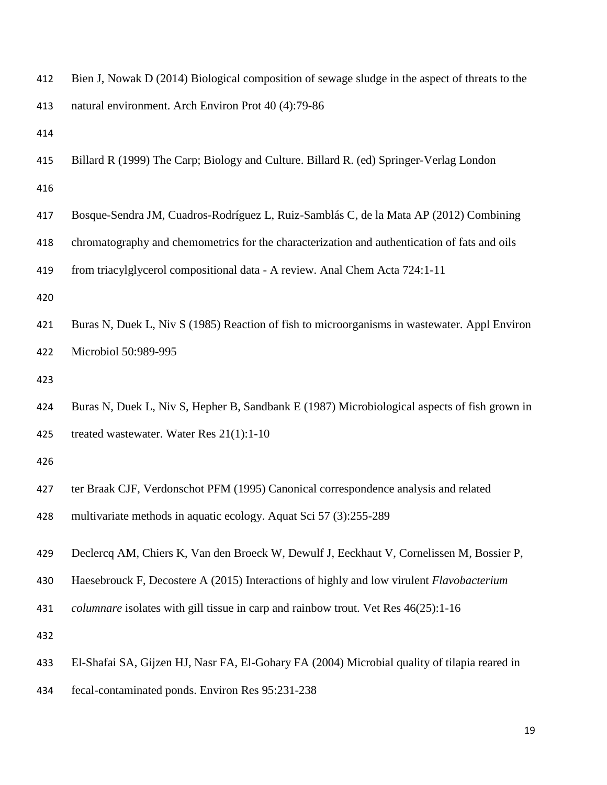| 412 | Bien J, Nowak D (2014) Biological composition of sewage sludge in the aspect of threats to the |
|-----|------------------------------------------------------------------------------------------------|
| 413 | natural environment. Arch Environ Prot 40 (4):79-86                                            |
| 414 |                                                                                                |
| 415 | Billard R (1999) The Carp; Biology and Culture. Billard R. (ed) Springer-Verlag London         |
| 416 |                                                                                                |
| 417 | Bosque-Sendra JM, Cuadros-Rodríguez L, Ruiz-Samblás C, de la Mata AP (2012) Combining          |
| 418 | chromatography and chemometrics for the characterization and authentication of fats and oils   |
| 419 | from triacylglycerol compositional data - A review. Anal Chem Acta 724:1-11                    |
| 420 |                                                                                                |
| 421 | Buras N, Duek L, Niv S (1985) Reaction of fish to microorganisms in wastewater. Appl Environ   |
| 422 | Microbiol 50:989-995                                                                           |
| 423 |                                                                                                |
| 424 | Buras N, Duek L, Niv S, Hepher B, Sandbank E (1987) Microbiological aspects of fish grown in   |
| 425 | treated wastewater. Water Res 21(1):1-10                                                       |
| 426 |                                                                                                |
| 427 | ter Braak CJF, Verdonschot PFM (1995) Canonical correspondence analysis and related            |
| 428 | multivariate methods in aquatic ecology. Aquat Sci 57 (3):255-289                              |
| 429 | Declercq AM, Chiers K, Van den Broeck W, Dewulf J, Eeckhaut V, Cornelissen M, Bossier P,       |
| 430 | Haesebrouck F, Decostere A (2015) Interactions of highly and low virulent Flavobacterium       |
| 431 | <i>columnare</i> isolates with gill tissue in carp and rainbow trout. Vet Res 46(25):1-16      |
| 432 |                                                                                                |
| 433 | El-Shafai SA, Gijzen HJ, Nasr FA, El-Gohary FA (2004) Microbial quality of tilapia reared in   |
| 434 | fecal-contaminated ponds. Environ Res 95:231-238                                               |
|     |                                                                                                |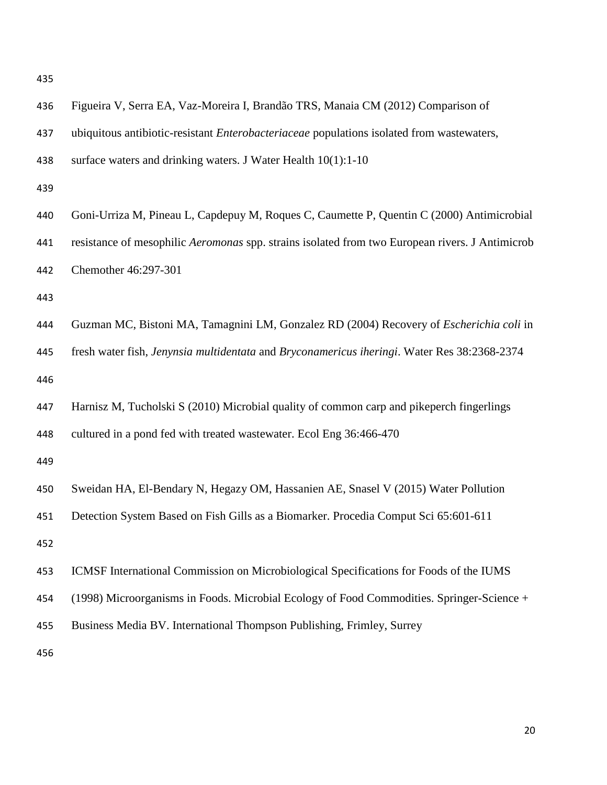| 436 | Figueira V, Serra EA, Vaz-Moreira I, Brandão TRS, Manaia CM (2012) Comparison of                 |
|-----|--------------------------------------------------------------------------------------------------|
| 437 | ubiquitous antibiotic-resistant <i>Enterobacteriaceae</i> populations isolated from wastewaters, |
| 438 | surface waters and drinking waters. J Water Health $10(1)$ :1-10                                 |
| 439 |                                                                                                  |
| 440 | Goni-Urriza M, Pineau L, Capdepuy M, Roques C, Caumette P, Quentin C (2000) Antimicrobial        |
| 441 | resistance of mesophilic Aeromonas spp. strains isolated from two European rivers. J Antimicrob  |
| 442 | Chemother 46:297-301                                                                             |
| 443 |                                                                                                  |
| 444 | Guzman MC, Bistoni MA, Tamagnini LM, Gonzalez RD (2004) Recovery of <i>Escherichia coli</i> in   |
| 445 | fresh water fish, Jenynsia multidentata and Bryconamericus iheringi. Water Res 38:2368-2374      |
| 446 |                                                                                                  |
| 447 | Harnisz M, Tucholski S (2010) Microbial quality of common carp and pikeperch fingerlings         |
| 448 | cultured in a pond fed with treated wastewater. Ecol Eng 36:466-470                              |
| 449 |                                                                                                  |
| 450 | Sweidan HA, El-Bendary N, Hegazy OM, Hassanien AE, Snasel V (2015) Water Pollution               |
| 451 | Detection System Based on Fish Gills as a Biomarker. Procedia Comput Sci 65:601-611              |
| 452 |                                                                                                  |
| 453 | ICMSF International Commission on Microbiological Specifications for Foods of the IUMS           |
| 454 | (1998) Microorganisms in Foods. Microbial Ecology of Food Commodities. Springer-Science +        |
| 455 | Business Media BV. International Thompson Publishing, Frimley, Surrey                            |
| 456 |                                                                                                  |
|     |                                                                                                  |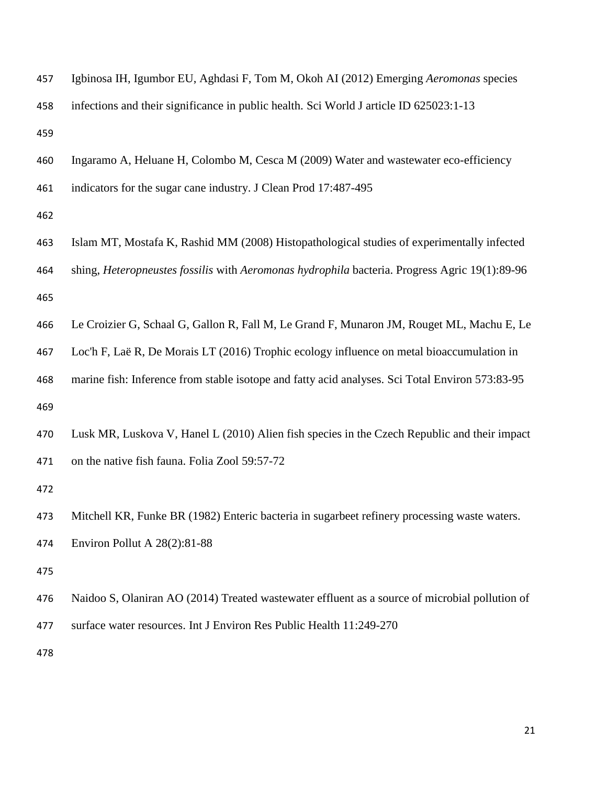| 457 | Igbinosa IH, Igumbor EU, Aghdasi F, Tom M, Okoh AI (2012) Emerging Aeromonas species            |
|-----|-------------------------------------------------------------------------------------------------|
| 458 | infections and their significance in public health. Sci World J article ID 625023:1-13          |
| 459 |                                                                                                 |
| 460 | Ingaramo A, Heluane H, Colombo M, Cesca M (2009) Water and wastewater eco-efficiency            |
| 461 | indicators for the sugar cane industry. J Clean Prod 17:487-495                                 |
| 462 |                                                                                                 |
| 463 | Islam MT, Mostafa K, Rashid MM (2008) Histopathological studies of experimentally infected      |
| 464 | shing, Heteropneustes fossilis with Aeromonas hydrophila bacteria. Progress Agric 19(1):89-96   |
| 465 |                                                                                                 |
| 466 | Le Croizier G, Schaal G, Gallon R, Fall M, Le Grand F, Munaron JM, Rouget ML, Machu E, Le       |
| 467 | Loc'h F, Laë R, De Morais LT (2016) Trophic ecology influence on metal bioaccumulation in       |
| 468 | marine fish: Inference from stable isotope and fatty acid analyses. Sci Total Environ 573:83-95 |
| 469 |                                                                                                 |
| 470 | Lusk MR, Luskova V, Hanel L (2010) Alien fish species in the Czech Republic and their impact    |
| 471 | on the native fish fauna. Folia Zool 59:57-72                                                   |
| 472 |                                                                                                 |
| 473 | Mitchell KR, Funke BR (1982) Enteric bacteria in sugarbeet refinery processing waste waters.    |
| 474 | Environ Pollut A $28(2):81-88$                                                                  |
| 475 |                                                                                                 |
| 476 | Naidoo S, Olaniran AO (2014) Treated wastewater effluent as a source of microbial pollution of  |
| 477 | surface water resources. Int J Environ Res Public Health 11:249-270                             |
| 478 |                                                                                                 |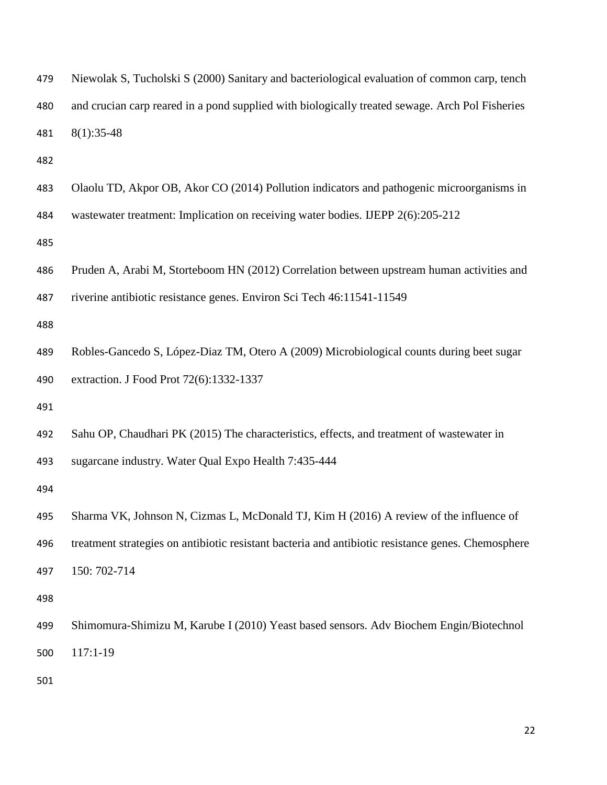| 479 | Niewolak S, Tucholski S (2000) Sanitary and bacteriological evaluation of common carp, tench       |
|-----|----------------------------------------------------------------------------------------------------|
| 480 | and crucian carp reared in a pond supplied with biologically treated sewage. Arch Pol Fisheries    |
| 481 | $8(1):35-48$                                                                                       |
| 482 |                                                                                                    |
| 483 | Olaolu TD, Akpor OB, Akor CO (2014) Pollution indicators and pathogenic microorganisms in          |
| 484 | wastewater treatment: Implication on receiving water bodies. IJEPP 2(6):205-212                    |
| 485 |                                                                                                    |
| 486 | Pruden A, Arabi M, Storteboom HN (2012) Correlation between upstream human activities and          |
| 487 | riverine antibiotic resistance genes. Environ Sci Tech 46:11541-11549                              |
| 488 |                                                                                                    |
| 489 | Robles-Gancedo S, López-Diaz TM, Otero A (2009) Microbiological counts during beet sugar           |
| 490 | extraction. J Food Prot 72(6):1332-1337                                                            |
| 491 |                                                                                                    |
| 492 | Sahu OP, Chaudhari PK (2015) The characteristics, effects, and treatment of wastewater in          |
| 493 | sugarcane industry. Water Qual Expo Health 7:435-444                                               |
| 494 |                                                                                                    |
| 495 | Sharma VK, Johnson N, Cizmas L, McDonald TJ, Kim H (2016) A review of the influence of             |
| 496 | treatment strategies on antibiotic resistant bacteria and antibiotic resistance genes. Chemosphere |
| 497 | 150: 702-714                                                                                       |
| 498 |                                                                                                    |
| 499 | Shimomura-Shimizu M, Karube I (2010) Yeast based sensors. Adv Biochem Engin/Biotechnol             |
| 500 | 117:1-19                                                                                           |
| 501 |                                                                                                    |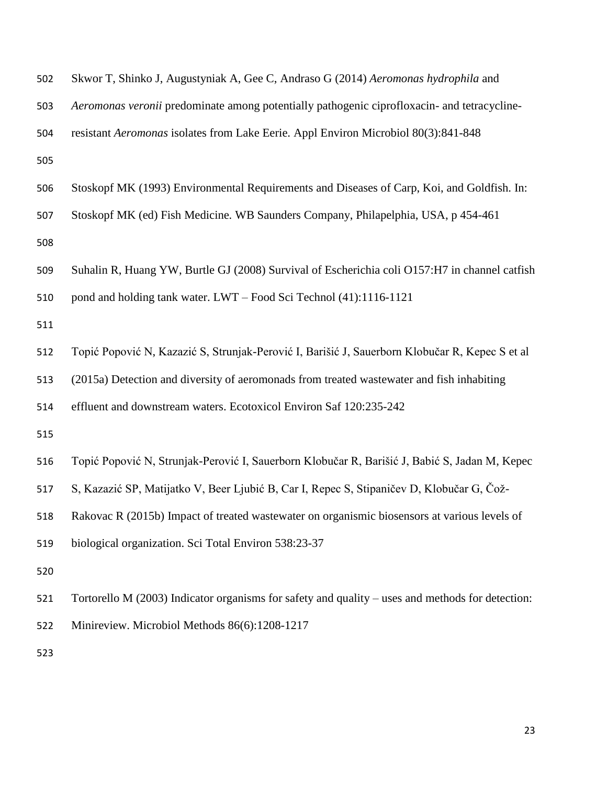| 502 | Skwor T, Shinko J, Augustyniak A, Gee C, Andraso G (2014) Aeromonas hydrophila and                 |
|-----|----------------------------------------------------------------------------------------------------|
| 503 | Aeromonas veronii predominate among potentially pathogenic ciprofloxacin- and tetracycline-        |
| 504 | resistant Aeromonas isolates from Lake Eerie. Appl Environ Microbiol 80(3):841-848                 |
| 505 |                                                                                                    |
| 506 | Stoskopf MK (1993) Environmental Requirements and Diseases of Carp, Koi, and Goldfish. In:         |
| 507 | Stoskopf MK (ed) Fish Medicine. WB Saunders Company, Philapelphia, USA, p 454-461                  |
| 508 |                                                                                                    |
| 509 | Suhalin R, Huang YW, Burtle GJ (2008) Survival of Escherichia coli O157:H7 in channel catfish      |
| 510 | pond and holding tank water. LWT – Food Sci Technol (41):1116-1121                                 |
| 511 |                                                                                                    |
| 512 | Topić Popović N, Kazazić S, Strunjak-Perović I, Barišić J, Sauerborn Klobučar R, Kepec S et al     |
| 513 | (2015a) Detection and diversity of aeromonads from treated wastewater and fish inhabiting          |
| 514 | effluent and downstream waters. Ecotoxicol Environ Saf 120:235-242                                 |
| 515 |                                                                                                    |
| 516 | Topić Popović N, Strunjak-Perović I, Sauerborn Klobučar R, Barišić J, Babić S, Jadan M, Kepec      |
| 517 | S, Kazazić SP, Matijatko V, Beer Ljubić B, Car I, Repec S, Stipaničev D, Klobučar G, Čož-          |
| 518 | Rakovac R (2015b) Impact of treated wastewater on organismic biosensors at various levels of       |
| 519 | biological organization. Sci Total Environ 538:23-37                                               |
| 520 |                                                                                                    |
| 521 | Tortorello M $(2003)$ Indicator organisms for safety and quality – uses and methods for detection: |
| 522 | Minireview. Microbiol Methods 86(6):1208-1217                                                      |
|     |                                                                                                    |